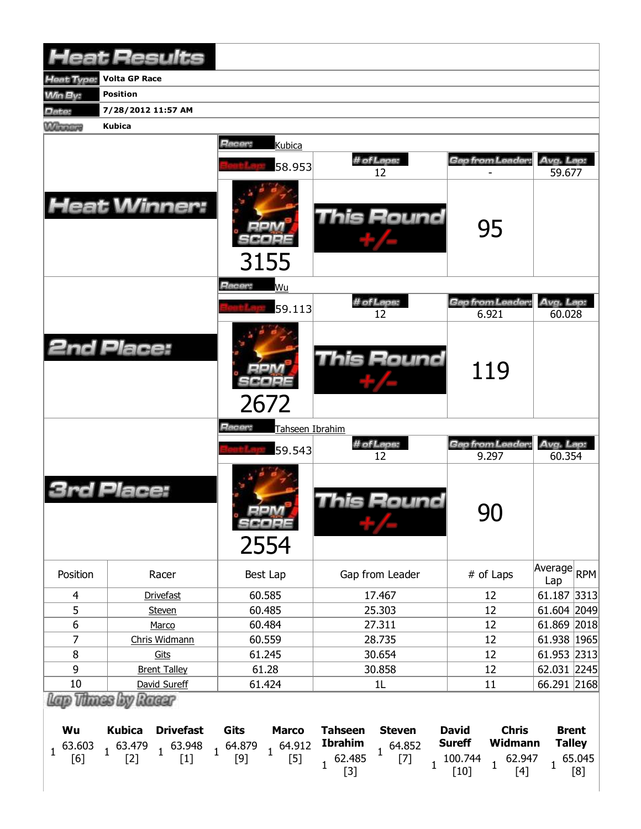|                    | <b>Heat Results</b>                                              |                                          |                                                                   |                                                          |                               |  |  |
|--------------------|------------------------------------------------------------------|------------------------------------------|-------------------------------------------------------------------|----------------------------------------------------------|-------------------------------|--|--|
| leat Type:         | <b>Volta GP Race</b>                                             |                                          |                                                                   |                                                          |                               |  |  |
| <b>Win By:</b>     | <b>Position</b>                                                  |                                          |                                                                   |                                                          |                               |  |  |
| Date:              | 7/28/2012 11:57 AM                                               |                                          |                                                                   |                                                          |                               |  |  |
| <b>MARGARY</b>     | <b>Kubica</b>                                                    |                                          |                                                                   |                                                          |                               |  |  |
|                    |                                                                  | Racer:<br>Kubica<br>58.953               | # of Laps:                                                        | Gap from Leader:                                         | Avg. Lap:                     |  |  |
|                    | <b>Heat Winner:</b>                                              | 3155                                     | 12<br>This Round                                                  | 95                                                       | 59.677                        |  |  |
|                    |                                                                  | Racer:<br>Wu<br>59.113                   | # of Laps:<br>12                                                  | Gap from Leader<br>6.921                                 | Avg. Lap:<br>60.028           |  |  |
|                    | <b>2nd Place:</b>                                                | 2672                                     | <b>This Round</b>                                                 | 119                                                      |                               |  |  |
|                    |                                                                  | Racer:<br>Tahseen Ibrahim                |                                                                   |                                                          |                               |  |  |
|                    |                                                                  | 59.543                                   | # of Laps:<br>12                                                  | Gap from Leader:<br>9.297                                | Avg. Lap:<br>60.354           |  |  |
|                    | Place:                                                           | $=1.4$<br>SCOPE<br>2554                  | This Round                                                        | 90                                                       |                               |  |  |
| Position           | Racer                                                            | Best Lap                                 | Gap from Leader                                                   | # of Laps                                                | Average<br>RPM<br>Lap         |  |  |
| 4                  | <b>Drivefast</b>                                                 | 60.585                                   | 17.467                                                            | 12                                                       | 61.187 3313                   |  |  |
| 5                  | Steven                                                           | 60.485                                   | 25.303                                                            | 12                                                       | 61.604 2049                   |  |  |
| $\boldsymbol{6}$   | Marco                                                            | 60.484                                   | 27.311                                                            | 12                                                       | 61.869 2018                   |  |  |
| $\overline{7}$     | Chris Widmann                                                    | 60.559                                   | 28.735                                                            | 12                                                       | 61.938 1965                   |  |  |
| 8                  | Gits                                                             | 61.245                                   | 30.654                                                            | 12                                                       | 61.953 2313                   |  |  |
| 9                  | <b>Brent Talley</b>                                              | 61.28                                    | 30.858                                                            | 12                                                       | 62.031 2245                   |  |  |
| 10                 | David Sureff                                                     | 61.424                                   | 1L                                                                | 11                                                       | 66.291 2168                   |  |  |
| Wu                 | Lap Thass by Racer<br><b>Kubica</b><br><b>Drivefast</b>          | Gits<br><b>Marco</b>                     | <b>Tahseen</b><br><b>Steven</b><br><b>Ibrahim</b>                 | <b>David</b><br><b>Chris</b><br><b>Sureff</b><br>Widmann | <b>Brent</b><br><b>Talley</b> |  |  |
| 63.603<br>1<br>[6] | $1^{63.948}$<br>$1^{63.479}$<br>$\overline{1}$<br>$[1]$<br>$[2]$ | 64.879<br>$1^{64.912}$<br>$[5]$<br>$[9]$ | 64.852<br>$\mathbf 1$<br>62.485<br>$[7]$<br>$\mathbf{1}$<br>$[3]$ | 100.744<br>62.947<br>1<br>$[10]$<br>$[4]$                | 65.045<br>$\mathbf{1}$<br>[8] |  |  |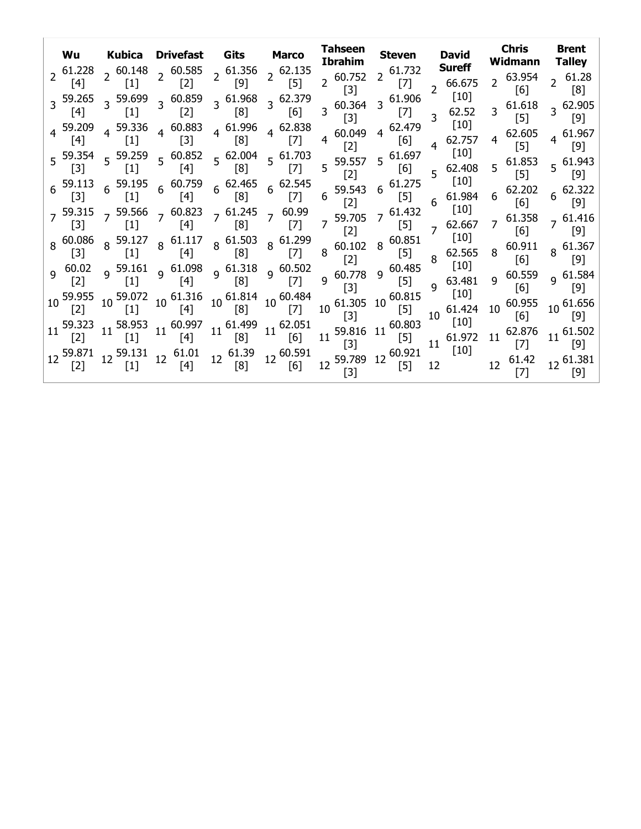| Wu<br>$2^{61.228}$<br>[4]                | <b>Kubica</b><br>$2^{60.148}$<br>$[1]$                       | Drivefast<br>$2^{60.585}$<br>$[2]$                                           | Gits<br>$2^{61.356}$<br>$[9]$                                                                                                                                                        | <b>Marco</b><br>$2^{62.135}$<br>$[5]$        | Tahseen<br><b>Ibrahim</b><br>$2^{60.752}$   | <b>Steven</b><br>$2^{61.732}$<br> 7     | <b>David</b><br><b>Sureff</b><br>66.675    | <b>Chris</b><br>Widmann<br>63.954<br>$\mathbf{2}$ | <b>Brent</b><br>Talley                 |
|------------------------------------------|--------------------------------------------------------------|------------------------------------------------------------------------------|--------------------------------------------------------------------------------------------------------------------------------------------------------------------------------------|----------------------------------------------|---------------------------------------------|-----------------------------------------|--------------------------------------------|---------------------------------------------------|----------------------------------------|
| 3 59.265<br>$[4]$                        | 3 59.699<br>$[1]$                                            | 3 60.859<br>$[2]$                                                            | 3 61.968<br>[8]                                                                                                                                                                      | 3 62.379<br>$[6]$                            | [3]<br>$3\,60.364$<br>$[3]$                 | 3 61.906<br>$[7]$                       | $[10]$<br>62.52<br>3<br>$\lceil 10 \rceil$ | [6]<br>$3\quad 61.618$<br>$[5]$                   | [8]<br>3 62.905<br>$[9]$               |
| [4]                                      | $4^{59.336}$<br>$[1]$                                        | $4^{60.883}$<br>$[3]$                                                        | $4\text{ }61.996$<br>[8]                                                                                                                                                             | $4^{62.838}$<br>$[7]$                        | 60.049<br>$\overline{4}$<br>[2]             | 4 62.479<br>[6]<br>$5\text{ }^{61.697}$ | 62.757<br>4<br>$[10]$                      | 62.605<br>$\overline{4}$<br>$[5]$                 | $4\text{ }61.967$<br>$[9]$             |
| $[3]$<br>$6^{59.113}$                    | $5\frac{59.354}{53}$ 59.259<br>$[1]$<br>$6\frac{59.195}{51}$ | $[4]$                                                                        | $5\begin{array}{c}60.852\\5\end{array}$ $5\begin{array}{c}62.004\\52\end{array}$<br>[8]<br>$6\begin{array}{cc} 60.759 \\ 6 \end{array}$ $6\begin{array}{cc} 62.465 \\ 6 \end{array}$ | $5\frac{61.703}{5}$<br>$[7]$<br>$6^{62.545}$ | 5 59.557<br>[2]                             | [6]<br>$6^{61.275}$                     | 62.408<br>5<br>$[10]$                      | $5\text{ }61.853$<br>$[5]$                        | $5\text{ }61.943$<br>$\lceil 9 \rceil$ |
| $[3]$                                    | $[1]$                                                        | $\vert 4 \vert$<br>$7\frac{59.315}{2}$ 7 59.566 $7\frac{60.823}{2}$ 7 61.245 | [8]                                                                                                                                                                                  | $[7]$<br>7 60.99                             | 6 59.543<br>$\lceil 2 \rceil$<br>7 59.705   | $[5]$<br>$7^{61.432}$                   | 61.984<br>6<br>$[10]$                      | 62.202<br>6<br>[6]<br>61.358                      | $\lceil 9 \rceil$                      |
| $[3]$<br>8 60.086                        | $\vert 1 \vert$<br>$8^{59.127}$                              | $[4]$<br>$8\substack{61.117}$                                                | [8]<br>$8^{61.503}$                                                                                                                                                                  | $[7]$<br>8 61.299                            | $\lceil 2 \rceil$<br>$8\text{ }60.102$      | $[5]$<br>$8^{60.851}$                   | 62.667<br>$\overline{7}$<br>$[10]$         | [6]<br>60.911                                     | $7\,61.416$<br> 9 <br>$8^{61.367}$     |
| $[3]$<br>$9\ 60.02$<br>$\lceil 2 \rceil$ | $\vert 1 \vert$<br>9 59.161<br>$[1]$                         | [4]<br>$9\frac{61.098}{ }$<br>$[4]$                                          | [8]<br>$9^{61.318}$<br>[8]                                                                                                                                                           | $[7]$<br>$9\,60.502$<br>$[7]$                | [2]<br>$9\,60.778$                          | $[5]$<br>$9\,60.485$<br>$[5]$           | 62.565<br>8<br>$[10]$<br>63.481            | 8<br>[6]<br>60.559<br>9                           | 191<br>9 61.584                        |
| 59.955<br>$[2]$                          | 10 59.072<br>$[1]$                                           | $10^{61.316}$<br>$\lceil 4 \rceil$                                           | $10^{61.814}$<br>[8]                                                                                                                                                                 | $10^{60.484}$<br>$[7]$                       | $[3]$<br>61.305<br>10 <sup>7</sup><br>$[3]$ | $10\,60.815$<br>$[5]$                   | q<br>$[10]$<br>$10^{-61.424}$              | [6]<br>10 60.955<br>[6]                           | [9]<br>$10^{61.656}$<br>[9]            |
| 59.323<br>$\lceil 2 \rceil$              | 58.953<br>11<br>$[1]$                                        | $11^{60.997}$<br>[4]                                                         | $11^{61.499}$<br>[8]                                                                                                                                                                 | $11^{62.051}$<br>[6]                         | 11<br>$[3]$                                 | 59.816 11 60.803<br>$[5]$               | $[10]$<br>$11^{61.972}$                    | 62.876<br>11<br>$[7]$                             | $11^{61.502}$<br>[9]                   |
| 59.871                                   | 12 59.131<br>$[1]$                                           | 61.01<br>12 <sup>12</sup><br>$[4]$                                           | $12^{61.39}$<br>[8]                                                                                                                                                                  | 12 60.591<br>[6]                             | 12 59.789 12 60.921<br>[3]                  | $[5]$                                   | $[10]$<br>12                               | 61.42<br>12 <sup>12</sup>                         | 12 61.381<br>[9]                       |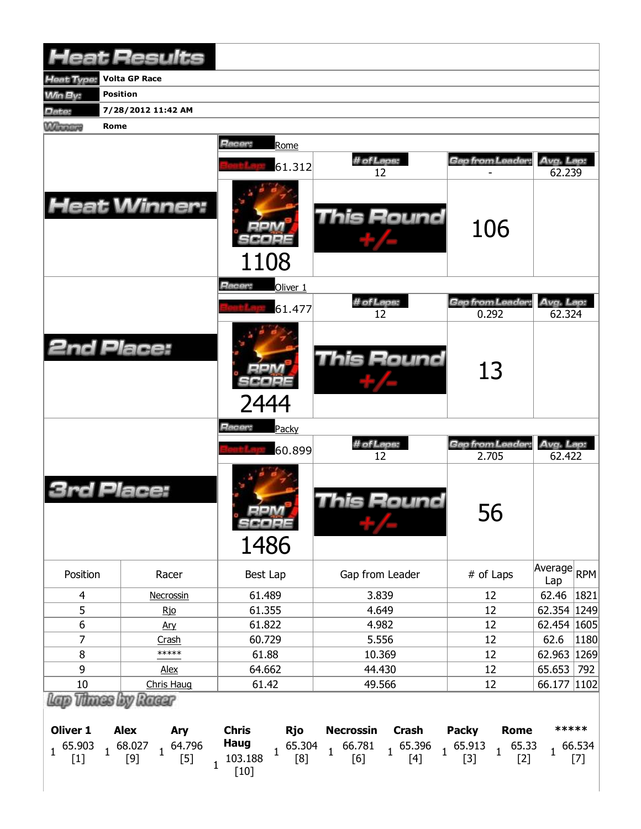|                                             | <b>Heat Results</b>                                                                  |                                                                                          |                                                                                                                   |                                                                          |                                |
|---------------------------------------------|--------------------------------------------------------------------------------------|------------------------------------------------------------------------------------------|-------------------------------------------------------------------------------------------------------------------|--------------------------------------------------------------------------|--------------------------------|
| Heat Type:                                  | <b>Volta GP Race</b>                                                                 |                                                                                          |                                                                                                                   |                                                                          |                                |
| <b>Min By:</b><br><b>Position</b>           |                                                                                      |                                                                                          |                                                                                                                   |                                                                          |                                |
| Date:                                       | 7/28/2012 11:42 AM                                                                   |                                                                                          |                                                                                                                   |                                                                          |                                |
| <b>Winnipeg</b><br><b>Rome</b>              |                                                                                      |                                                                                          |                                                                                                                   |                                                                          |                                |
|                                             |                                                                                      | Racer:<br>Rome                                                                           |                                                                                                                   |                                                                          |                                |
|                                             |                                                                                      | 61.312                                                                                   | # of Laps:                                                                                                        | Gap from Leader:                                                         | Avg. Lap:                      |
|                                             | <b>Heat Winner:</b>                                                                  |                                                                                          | 12<br>This Round                                                                                                  | 106                                                                      | 62.239                         |
|                                             |                                                                                      | 1108                                                                                     |                                                                                                                   |                                                                          |                                |
|                                             |                                                                                      | Racer:<br>Oliver <sub>1</sub>                                                            |                                                                                                                   |                                                                          |                                |
|                                             |                                                                                      | 61.477                                                                                   | # of Laps:<br>12                                                                                                  | Gap from Leader:<br>0.292                                                | Avg. Lap:<br>62.324            |
| <b>2nd Place:</b>                           |                                                                                      | 2444                                                                                     | <b>This Round</b>                                                                                                 | 13                                                                       |                                |
|                                             |                                                                                      | Racer:<br>Packy                                                                          |                                                                                                                   |                                                                          |                                |
|                                             |                                                                                      | 60.899                                                                                   | # of Laps:                                                                                                        | Gap from Leader:                                                         | Avg. Lap:                      |
| <b>3rd Place:</b>                           |                                                                                      | <b>MA 44</b><br>SCORE<br>1486                                                            | 12<br>This Round                                                                                                  | 2.705<br>56                                                              | 62.422                         |
| Position                                    | Racer                                                                                | Best Lap                                                                                 | Gap from Leader                                                                                                   | # of Laps                                                                | Average RPM<br>Lap             |
| 4                                           | Necrossin                                                                            | 61.489                                                                                   | 3.839                                                                                                             | 12                                                                       | 62.46<br>1821                  |
| 5                                           | <u>Rjo</u>                                                                           | 61.355                                                                                   | 4.649                                                                                                             | 12                                                                       | 62.354 1249                    |
| 6                                           | Ary                                                                                  | 61.822                                                                                   | 4.982                                                                                                             | 12                                                                       | 62.454 1605                    |
| 7                                           | Crash                                                                                | 60.729                                                                                   | 5.556                                                                                                             | 12                                                                       | 62.6<br> 1180                  |
| 8                                           | *****                                                                                | 61.88                                                                                    | 10.369                                                                                                            | 12                                                                       | 62.963 1269                    |
| 9                                           | Alex                                                                                 | 64.662                                                                                   | 44.430                                                                                                            | 12                                                                       | 65.653<br>792                  |
| $10\,$                                      | Chris Haug<br>Thues by Ruser                                                         | 61.42                                                                                    | 49.566                                                                                                            | 12                                                                       | 66.177 1102                    |
| Oliver 1<br>65.903<br>$\mathbf{1}$<br>$[1]$ | <b>Alex</b><br>Ary<br>$1^{68.027}$<br>$1^{64.796}$<br>$[5]$<br>$[9]$<br>$\mathbf{1}$ | <b>Chris</b><br>Rjo<br><b>Haug</b><br>65.304<br>$\mathbf{1}$<br>103.188<br>[8]<br>$[10]$ | <b>Necrossin</b><br>Crash<br>$1\quad 66.781$<br>$1\begin{array}{cc} 65.396 & 1\end{array}$ 65.913<br>[6]<br>$[4]$ | <b>Packy</b><br><b>Rome</b><br>65.33<br>$\overline{1}$<br>$[3]$<br>$[2]$ | *****<br>$1^{66.534}$<br>$[7]$ |